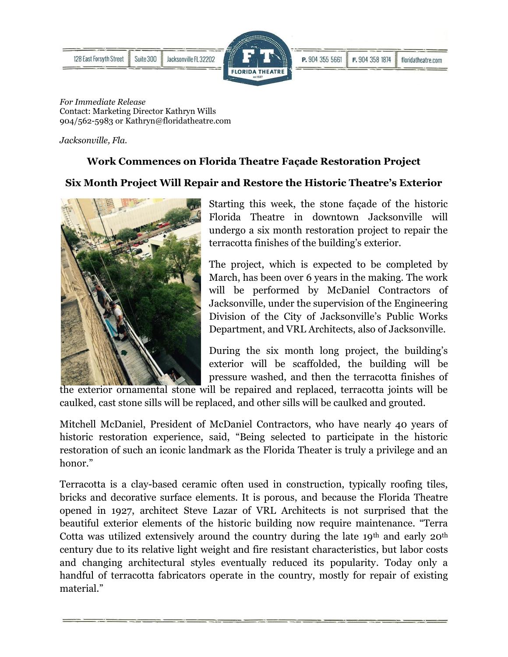



*For Immediate Release*  Contact: Marketing Director Kathryn Wills 904/562-5983 or Kathryn@floridatheatre.com

*Jacksonville, Fla.*

## **Work Commences on Florida Theatre Façade Restoration Project**

## **Six Month Project Will Repair and Restore the Historic Theatre's Exterior**



Starting this week, the stone façade of the historic Florida Theatre in downtown Jacksonville will undergo a six month restoration project to repair the terracotta finishes of the building's exterior.

The project, which is expected to be completed by March, has been over 6 years in the making. The work will be performed by McDaniel Contractors of Jacksonville, under the supervision of the Engineering Division of the City of Jacksonville's Public Works Department, and VRL Architects, also of Jacksonville.

During the six month long project, the building's exterior will be scaffolded, the building will be pressure washed, and then the terracotta finishes of

the exterior ornamental stone will be repaired and replaced, terracotta joints will be caulked, cast stone sills will be replaced, and other sills will be caulked and grouted.

Mitchell McDaniel, President of McDaniel Contractors, who have nearly 40 years of historic restoration experience, said, "Being selected to participate in the historic restoration of such an iconic landmark as the Florida Theater is truly a privilege and an honor."

Terracotta is a clay-based ceramic often used in construction, typically roofing tiles, bricks and decorative surface elements. It is porous, and because the Florida Theatre opened in 1927, architect Steve Lazar of VRL Architects is not surprised that the beautiful exterior elements of the historic building now require maintenance. "Terra Cotta was utilized extensively around the country during the late  $19<sup>th</sup>$  and early  $20<sup>th</sup>$ century due to its relative light weight and fire resistant characteristics, but labor costs and changing architectural styles eventually reduced its popularity. Today only a handful of terracotta fabricators operate in the country, mostly for repair of existing material."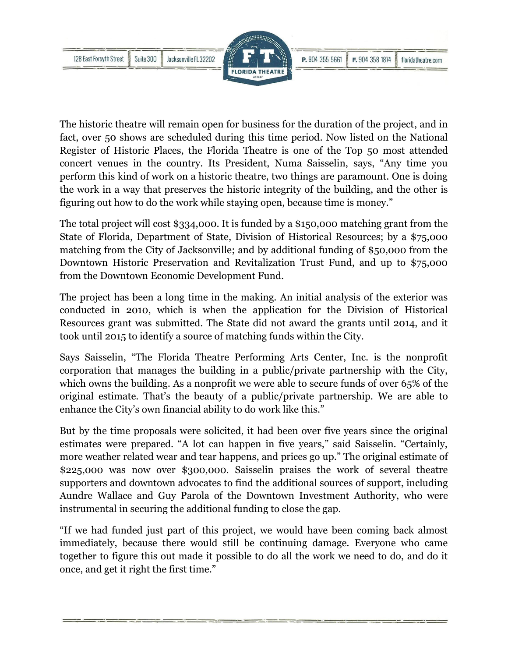

The historic theatre will remain open for business for the duration of the project, and in fact, over 50 shows are scheduled during this time period. Now listed on the National Register of Historic Places, the Florida Theatre is one of the Top 50 most attended concert venues in the country. Its President, Numa Saisselin, says, "Any time you perform this kind of work on a historic theatre, two things are paramount. One is doing the work in a way that preserves the historic integrity of the building, and the other is figuring out how to do the work while staying open, because time is money."

The total project will cost \$334,000. It is funded by a \$150,000 matching grant from the State of Florida, Department of State, Division of Historical Resources; by a \$75,000 matching from the City of Jacksonville; and by additional funding of \$50,000 from the Downtown Historic Preservation and Revitalization Trust Fund, and up to \$75,000 from the Downtown Economic Development Fund.

The project has been a long time in the making. An initial analysis of the exterior was conducted in 2010, which is when the application for the Division of Historical Resources grant was submitted. The State did not award the grants until 2014, and it took until 2015 to identify a source of matching funds within the City.

Says Saisselin, "The Florida Theatre Performing Arts Center, Inc. is the nonprofit corporation that manages the building in a public/private partnership with the City, which owns the building. As a nonprofit we were able to secure funds of over 65% of the original estimate. That's the beauty of a public/private partnership. We are able to enhance the City's own financial ability to do work like this."

But by the time proposals were solicited, it had been over five years since the original estimates were prepared. "A lot can happen in five years," said Saisselin. "Certainly, more weather related wear and tear happens, and prices go up." The original estimate of \$225,000 was now over \$300,000. Saisselin praises the work of several theatre supporters and downtown advocates to find the additional sources of support, including Aundre Wallace and Guy Parola of the Downtown Investment Authority, who were instrumental in securing the additional funding to close the gap.

"If we had funded just part of this project, we would have been coming back almost immediately, because there would still be continuing damage. Everyone who came together to figure this out made it possible to do all the work we need to do, and do it once, and get it right the first time."